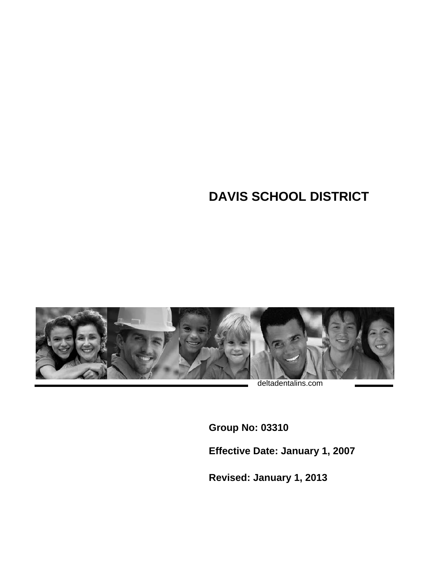## **DAVIS SCHOOL DISTRICT**



deltadentalins.com

**Group No: 03310** 

**Effective Date: January 1, 2007** 

**Revised: January 1, 2013**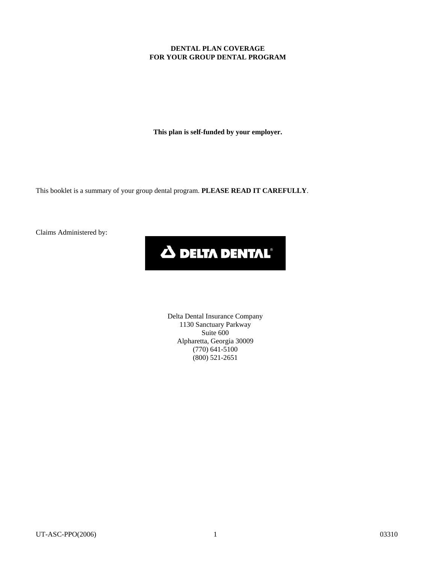#### **DENTAL PLAN COVERAGE FOR YOUR GROUP DENTAL PROGRAM**

**This plan is self-funded by your employer.** 

This booklet is a summary of your group dental program. **PLEASE READ IT CAREFULLY**.

Claims Administered by:

# **A DELTA DENTAL**

Delta Dental Insurance Company 1130 Sanctuary Parkway Suite 600 Alpharetta, Georgia 30009 (770) 641-5100 (800) 521-2651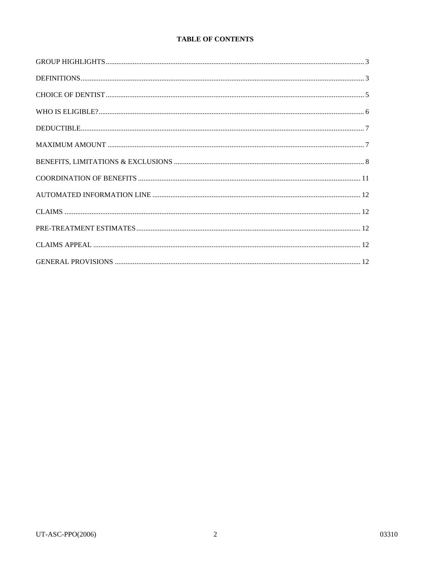## **TABLE OF CONTENTS**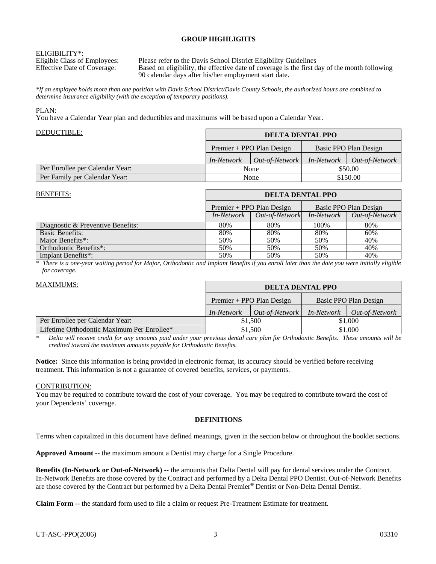#### **GROUP HIGHLIGHTS**

**ELIGIBILITY\*:**<br>Eligible Class of Employees:

Eligible Class of Employees: Please refer to the Davis School District Eligibility Guidelines<br>Effective Date of Coverage: Based on eligibility, the effective date of coverage is the first d Based on eligibility, the effective date of coverage is the first day of the month following 90 calendar days after his/her employment start date.

*\*If an employee holds more than one position with Davis School District/Davis County Schools, the authorized hours are combined to determine insurance eligibility (with the exception of temporary positions).* 

#### PLAN:

You have a Calendar Year plan and deductibles and maximums will be based upon a Calendar Year.

| DEDUCTIBLE:                     | <b>DELTA DENTAL PPO</b> |                           |                   |                       |
|---------------------------------|-------------------------|---------------------------|-------------------|-----------------------|
|                                 |                         | Premier + PPO Plan Design |                   | Basic PPO Plan Design |
|                                 | <i>In-Network</i>       | $Out-of-Network$          | <i>In-Network</i> | <i>Out-of-Network</i> |
| Per Enrollee per Calendar Year: | None                    |                           | \$50.00           |                       |
| Per Family per Calendar Year:   |                         | None                      |                   | \$150.00              |

| <b>BENEFITS:</b>                  | <b>DELTA DENTAL PPO</b> |                           |                   |                       |
|-----------------------------------|-------------------------|---------------------------|-------------------|-----------------------|
|                                   |                         | Premier + PPO Plan Design |                   | Basic PPO Plan Design |
|                                   | <i>In-Network</i>       | Out-of-Network            | <i>In-Network</i> | Out-of-Network        |
| Diagnostic & Preventive Benefits: | 80%                     | 80%                       | 100\%             | 80%                   |
| <b>Basic Benefits:</b>            | 80%                     | 80%                       | 80%               | 60%                   |
| Maior Benefits <sup>*</sup> :     | 50%                     | 50%                       | 50%               | 40%                   |
| Orthodontic Benefits*:            | 50%                     | 50%                       | 50%               | 40%                   |
| Implant Benefits*:                | 50%                     | 50%                       | 50%               | 40%                   |

*\* There is a one-year waiting period for Major, Orthodontic and Implant Benefits if you enroll later than the date you were initially eligible for coverage.* 

| <b>MAXIMUMS:</b>                           | <b>DELTA DENTAL PPO</b> |                             |                   |                       |
|--------------------------------------------|-------------------------|-----------------------------|-------------------|-----------------------|
|                                            |                         | $Premier + PPO Plan Design$ |                   | Basic PPO Plan Design |
|                                            | <i>In-Network</i>       | <i>Out-of-Network</i>       | <i>In-Network</i> | <i>Out-of-Network</i> |
| Per Enrollee per Calendar Year:            | \$1,500                 |                             | \$1,000           |                       |
| Lifetime Orthodontic Maximum Per Enrollee* | \$1,500                 |                             | \$1,000           |                       |

*\* Delta will receive credit for any amounts paid under your previous dental care plan for Orthodontic Benefits. These amounts will be credited toward the maximum amounts payable for Orthodontic Benefits.* 

**Notice:** Since this information is being provided in electronic format, its accuracy should be verified before receiving treatment. This information is not a guarantee of covered benefits, services, or payments.

#### CONTRIBUTION:

You may be required to contribute toward the cost of your coverage. You may be required to contribute toward the cost of your Dependents' coverage.

#### **DEFINITIONS**

Terms when capitalized in this document have defined meanings, given in the section below or throughout the booklet sections.

**Approved Amount --** the maximum amount a Dentist may charge for a Single Procedure.

**Benefits (In-Network or Out-of-Network)** -- the amounts that Delta Dental will pay for dental services under the Contract. In-Network Benefits are those covered by the Contract and performed by a Delta Dental PPO Dentist. Out-of-Network Benefits are those covered by the Contract but performed by a Delta Dental Premier**®** Dentist or Non-Delta Dental Dentist.

**Claim Form** -- the standard form used to file a claim or request Pre-Treatment Estimate for treatment.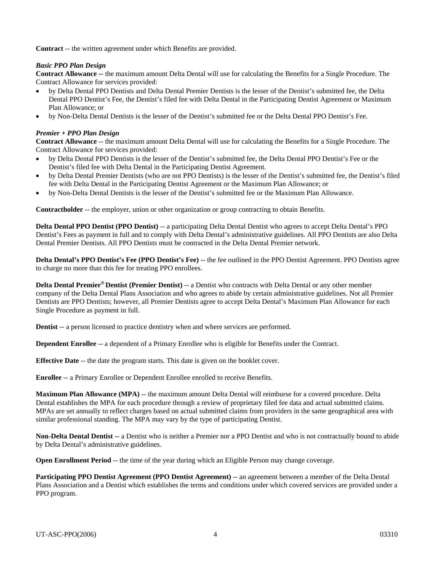**Contract** -- the written agreement under which Benefits are provided.

#### *Basic PPO Plan Design*

**Contract Allowance --** the maximum amount Delta Dental will use for calculating the Benefits for a Single Procedure. The Contract Allowance for services provided:

- by Delta Dental PPO Dentists and Delta Dental Premier Dentists is the lesser of the Dentist's submitted fee, the Delta Dental PPO Dentist's Fee, the Dentist's filed fee with Delta Dental in the Participating Dentist Agreement or Maximum Plan Allowance; or
- by Non-Delta Dental Dentists is the lesser of the Dentist's submitted fee or the Delta Dental PPO Dentist's Fee.

#### *Premier + PPO Plan Design*

**Contract Allowance** -- the maximum amount Delta Dental will use for calculating the Benefits for a Single Procedure. The Contract Allowance for services provided:

- by Delta Dental PPO Dentists is the lesser of the Dentist's submitted fee, the Delta Dental PPO Dentist's Fee or the Dentist's filed fee with Delta Dental in the Participating Dentist Agreement.
- by Delta Dental Premier Dentists (who are not PPO Dentists) is the lesser of the Dentist's submitted fee, the Dentist's filed fee with Delta Dental in the Participating Dentist Agreement or the Maximum Plan Allowance; or
- by Non-Delta Dental Dentists is the lesser of the Dentist's submitted fee or the Maximum Plan Allowance.

**Contractholder** -- the employer, union or other organization or group contracting to obtain Benefits.

**Delta Dental PPO Dentist (PPO Dentist)** -- a participating Delta Dental Dentist who agrees to accept Delta Dental's PPO Dentist's Fees as payment in full and to comply with Delta Dental's administrative guidelines. All PPO Dentists are also Delta Dental Premier Dentists. All PPO Dentists must be contracted in the Delta Dental Premier network.

**Delta Dental's PPO Dentist's Fee (PPO Dentist's Fee)** -- the fee outlined in the PPO Dentist Agreement. PPO Dentists agree to charge no more than this fee for treating PPO enrollees.

**Delta Dental Premier® Dentist (Premier Dentist)** -- a Dentist who contracts with Delta Dental or any other member company of the Delta Dental Plans Association and who agrees to abide by certain administrative guidelines. Not all Premier Dentists are PPO Dentists; however, all Premier Dentists agree to accept Delta Dental's Maximum Plan Allowance for each Single Procedure as payment in full.

**Dentist** -- a person licensed to practice dentistry when and where services are performed.

**Dependent Enrollee** -- a dependent of a Primary Enrollee who is eligible for Benefits under the Contract.

**Effective Date** -- the date the program starts. This date is given on the booklet cover.

**Enrollee** -- a Primary Enrollee or Dependent Enrollee enrolled to receive Benefits.

**Maximum Plan Allowance (MPA)** -- the maximum amount Delta Dental will reimburse for a covered procedure. Delta Dental establishes the MPA for each procedure through a review of proprietary filed fee data and actual submitted claims. MPAs are set annually to reflect charges based on actual submitted claims from providers in the same geographical area with similar professional standing. The MPA may vary by the type of participating Dentist.

**Non-Delta Dental Dentist --** a Dentist who is neither a Premier nor a PPO Dentist and who is not contractually bound to abide by Delta Dental's administrative guidelines.

**Open Enrollment Period** -- the time of the year during which an Eligible Person may change coverage.

**Participating PPO Dentist Agreement (PPO Dentist Agreement)** -- an agreement between a member of the Delta Dental Plans Association and a Dentist which establishes the terms and conditions under which covered services are provided under a PPO program.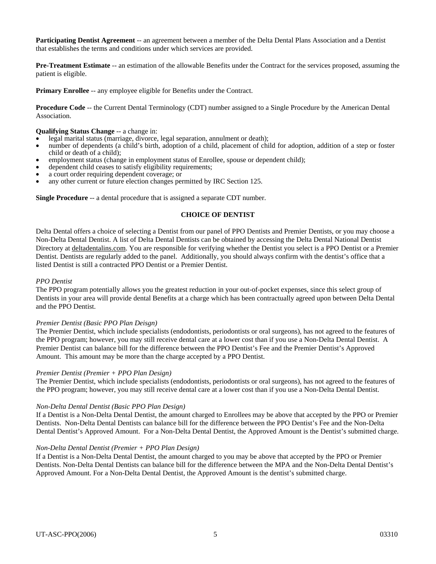**Participating Dentist Agreement** -- an agreement between a member of the Delta Dental Plans Association and a Dentist that establishes the terms and conditions under which services are provided.

**Pre-Treatment Estimate** -- an estimation of the allowable Benefits under the Contract for the services proposed, assuming the patient is eligible.

**Primary Enrollee** -- any employee eligible for Benefits under the Contract.

**Procedure Code** -- the Current Dental Terminology (CDT) number assigned to a Single Procedure by the American Dental Association.

- **Qualifying Status Change** -- a change in: **example** in: **example** in legal marital status (marriage, divorce, legal separation, annulment or death);
- number of dependents (a child's birth, adoption of a child, placement of child for adoption, addition of a step or foster child or death of a child);
- employment status (change in employment status of Enrollee, spouse or dependent child);
- dependent child ceases to satisfy eligibility requirements;
- a court order requiring dependent coverage; or
- any other current or future election changes permitted by IRC Section 125.

**Single Procedure** -- a dental procedure that is assigned a separate CDT number.

#### **CHOICE OF DENTIST**

Delta Dental offers a choice of selecting a Dentist from our panel of PPO Dentists and Premier Dentists, or you may choose a Non-Delta Dental Dentist. A list of Delta Dental Dentists can be obtained by accessing the Delta Dental National Dentist Directory at deltadentalins.com. You are responsible for verifying whether the Dentist you select is a PPO Dentist or a Premier Dentist. Dentists are regularly added to the panel. Additionally, you should always confirm with the dentist's office that a listed Dentist is still a contracted PPO Dentist or a Premier Dentist.

#### *PPO Dentist*

The PPO program potentially allows you the greatest reduction in your out-of-pocket expenses, since this select group of Dentists in your area will provide dental Benefits at a charge which has been contractually agreed upon between Delta Dental and the PPO Dentist.

#### *Premier Dentist (Basic PPO Plan Deisgn)*

The Premier Dentist, which include specialists (endodontists, periodontists or oral surgeons), has not agreed to the features of the PPO program; however, you may still receive dental care at a lower cost than if you use a Non-Delta Dental Dentist. A Premier Dentist can balance bill for the difference between the PPO Dentist's Fee and the Premier Dentist's Approved Amount. This amount may be more than the charge accepted by a PPO Dentist.

#### *Premier Dentist (Premier + PPO Plan Design)*

The Premier Dentist, which include specialists (endodontists, periodontists or oral surgeons), has not agreed to the features of the PPO program; however, you may still receive dental care at a lower cost than if you use a Non-Delta Dental Dentist.

#### *Non-Delta Dental Dentist (Basic PPO Plan Design)*

If a Dentist is a Non-Delta Dental Dentist, the amount charged to Enrollees may be above that accepted by the PPO or Premier Dentists. Non-Delta Dental Dentists can balance bill for the difference between the PPO Dentist's Fee and the Non-Delta Dental Dentist's Approved Amount. For a Non-Delta Dental Dentist, the Approved Amount is the Dentist's submitted charge.

#### *Non-Delta Dental Dentist (Premier + PPO Plan Design)*

If a Dentist is a Non-Delta Dental Dentist, the amount charged to you may be above that accepted by the PPO or Premier Dentists. Non-Delta Dental Dentists can balance bill for the difference between the MPA and the Non-Delta Dental Dentist's Approved Amount. For a Non-Delta Dental Dentist, the Approved Amount is the dentist's submitted charge.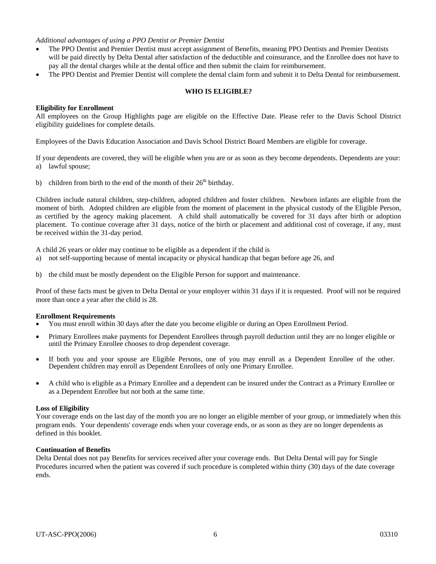#### *Additional advantages of using a PPO Dentist or Premier Dentist*

- The PPO Dentist and Premier Dentist must accept assignment of Benefits, meaning PPO Dentists and Premier Dentists will be paid directly by Delta Dental after satisfaction of the deductible and coinsurance, and the Enrollee does not have to pay all the dental charges while at the dental office and then submit the claim for reimbursement.
- The PPO Dentist and Premier Dentist will complete the dental claim form and submit it to Delta Dental for reimbursement.

#### **WHO IS ELIGIBLE?**

#### **Eligibility for Enrollment**

All employees on the Group Highlights page are eligible on the Effective Date. Please refer to the Davis School District eligibility guidelines for complete details.

Employees of the Davis Education Association and Davis School District Board Members are eligible for coverage.

If your dependents are covered, they will be eligible when you are or as soon as they become dependents. Dependents are your: a) lawful spouse;

b) children from birth to the end of the month of their  $26<sup>th</sup>$  birthday.

Children include natural children, step-children, adopted children and foster children. Newborn infants are eligible from the moment of birth. Adopted children are eligible from the moment of placement in the physical custody of the Eligible Person, as certified by the agency making placement. A child shall automatically be covered for 31 days after birth or adoption placement. To continue coverage after 31 days, notice of the birth or placement and additional cost of coverage, if any, must be received within the 31-day period.

A child 26 years or older may continue to be eligible as a dependent if the child is

- a) not self-supporting because of mental incapacity or physical handicap that began before age 26, and
- b) the child must be mostly dependent on the Eligible Person for support and maintenance.

Proof of these facts must be given to Delta Dental or your employer within 31 days if it is requested. Proof will not be required more than once a year after the child is 28.

#### **Enrollment Requirements**

- You must enroll within 30 days after the date you become eligible or during an Open Enrollment Period.
- Primary Enrollees make payments for Dependent Enrollees through payroll deduction until they are no longer eligible or until the Primary Enrollee chooses to drop dependent coverage.
- If both you and your spouse are Eligible Persons, one of you may enroll as a Dependent Enrollee of the other. Dependent children may enroll as Dependent Enrollees of only one Primary Enrollee.
- A child who is eligible as a Primary Enrollee and a dependent can be insured under the Contract as a Primary Enrollee or as a Dependent Enrollee but not both at the same time.

#### **Loss of Eligibility**

Your coverage ends on the last day of the month you are no longer an eligible member of your group, or immediately when this program ends. Your dependents' coverage ends when your coverage ends, or as soon as they are no longer dependents as defined in this booklet.

#### **Continuation of Benefits**

Delta Dental does not pay Benefits for services received after your coverage ends. But Delta Dental will pay for Single Procedures incurred when the patient was covered if such procedure is completed within thirty (30) days of the date coverage ends.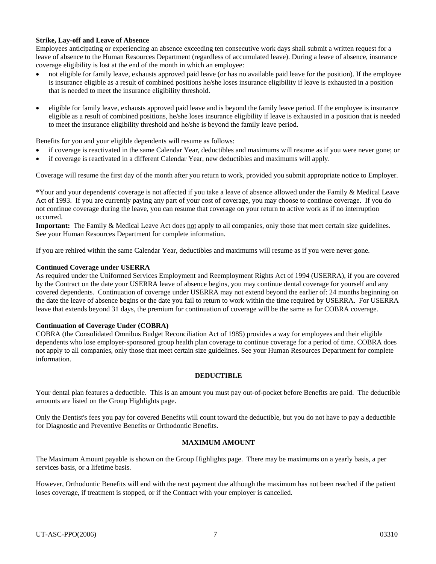#### **Strike, Lay-off and Leave of Absence**

Employees anticipating or experiencing an absence exceeding ten consecutive work days shall submit a written request for a leave of absence to the Human Resources Department (regardless of accumulated leave). During a leave of absence, insurance coverage eligibility is lost at the end of the month in which an employee:

- not eligible for family leave, exhausts approved paid leave (or has no available paid leave for the position). If the employee is insurance eligible as a result of combined positions he/she loses insurance eligibility if leave is exhausted in a position that is needed to meet the insurance eligibility threshold.
- eligible for family leave, exhausts approved paid leave and is beyond the family leave period. If the employee is insurance eligible as a result of combined positions, he/she loses insurance eligibility if leave is exhausted in a position that is needed to meet the insurance eligibility threshold and he/she is beyond the family leave period.

Benefits for you and your eligible dependents will resume as follows:

- if coverage is reactivated in the same Calendar Year, deductibles and maximums will resume as if you were never gone; or
- if coverage is reactivated in a different Calendar Year, new deductibles and maximums will apply.

Coverage will resume the first day of the month after you return to work, provided you submit appropriate notice to Employer.

\*Your and your dependents' coverage is not affected if you take a leave of absence allowed under the Family & Medical Leave Act of 1993. If you are currently paying any part of your cost of coverage, you may choose to continue coverage. If you do not continue coverage during the leave, you can resume that coverage on your return to active work as if no interruption occurred.

**Important:** The Family & Medical Leave Act does not apply to all companies, only those that meet certain size guidelines. See your Human Resources Department for complete information.

If you are rehired within the same Calendar Year, deductibles and maximums will resume as if you were never gone.

#### **Continued Coverage under USERRA**

As required under the Uniformed Services Employment and Reemployment Rights Act of 1994 (USERRA), if you are covered by the Contract on the date your USERRA leave of absence begins, you may continue dental coverage for yourself and any covered dependents. Continuation of coverage under USERRA may not extend beyond the earlier of: 24 months beginning on the date the leave of absence begins or the date you fail to return to work within the time required by USERRA. For USERRA leave that extends beyond 31 days, the premium for continuation of coverage will be the same as for COBRA coverage.

#### **Continuation of Coverage Under (COBRA)**

COBRA (the Consolidated Omnibus Budget Reconciliation Act of 1985) provides a way for employees and their eligible dependents who lose employer-sponsored group health plan coverage to continue coverage for a period of time. COBRA does not apply to all companies, only those that meet certain size guidelines. See your Human Resources Department for complete information.

#### **DEDUCTIBLE**

Your dental plan features a deductible. This is an amount you must pay out-of-pocket before Benefits are paid. The deductible amounts are listed on the Group Highlights page.

Only the Dentist's fees you pay for covered Benefits will count toward the deductible, but you do not have to pay a deductible for Diagnostic and Preventive Benefits or Orthodontic Benefits.

#### **MAXIMUM AMOUNT**

The Maximum Amount payable is shown on the Group Highlights page. There may be maximums on a yearly basis, a per services basis, or a lifetime basis.

However, Orthodontic Benefits will end with the next payment due although the maximum has not been reached if the patient loses coverage, if treatment is stopped, or if the Contract with your employer is cancelled.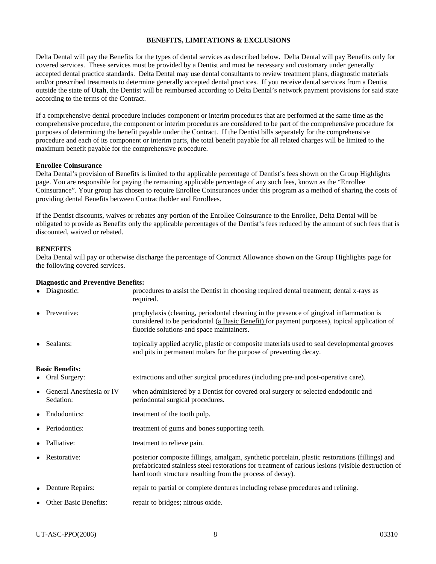#### **BENEFITS, LIMITATIONS & EXCLUSIONS**

Delta Dental will pay the Benefits for the types of dental services as described below. Delta Dental will pay Benefits only for covered services. These services must be provided by a Dentist and must be necessary and customary under generally accepted dental practice standards. Delta Dental may use dental consultants to review treatment plans, diagnostic materials and/or prescribed treatments to determine generally accepted dental practices. If you receive dental services from a Dentist outside the state of **Utah**, the Dentist will be reimbursed according to Delta Dental's network payment provisions for said state according to the terms of the Contract.

If a comprehensive dental procedure includes component or interim procedures that are performed at the same time as the comprehensive procedure, the component or interim procedures are considered to be part of the comprehensive procedure for purposes of determining the benefit payable under the Contract. If the Dentist bills separately for the comprehensive procedure and each of its component or interim parts, the total benefit payable for all related charges will be limited to the maximum benefit payable for the comprehensive procedure.

#### **Enrollee Coinsurance**

Delta Dental's provision of Benefits is limited to the applicable percentage of Dentist's fees shown on the Group Highlights page. You are responsible for paying the remaining applicable percentage of any such fees, known as the "Enrollee Coinsurance". Your group has chosen to require Enrollee Coinsurances under this program as a method of sharing the costs of providing dental Benefits between Contractholder and Enrollees.

If the Dentist discounts, waives or rebates any portion of the Enrollee Coinsurance to the Enrollee, Delta Dental will be obligated to provide as Benefits only the applicable percentages of the Dentist's fees reduced by the amount of such fees that is discounted, waived or rebated.

#### **BENEFITS**

Delta Dental will pay or otherwise discharge the percentage of Contract Allowance shown on the Group Highlights page for the following covered services.

#### **Diagnostic and Preventive Benefits:**

| • Diagnostic:                           | procedures to assist the Dentist in choosing required dental treatment; dental x-rays as<br>required.                                                                                                                                                                |
|-----------------------------------------|----------------------------------------------------------------------------------------------------------------------------------------------------------------------------------------------------------------------------------------------------------------------|
| • Preventive:                           | prophylaxis (cleaning, periodontal cleaning in the presence of gingival inflammation is<br>considered to be periodontal (a Basic Benefit) for payment purposes), topical application of<br>fluoride solutions and space maintainers.                                 |
| • Sealants:                             | topically applied acrylic, plastic or composite materials used to seal developmental grooves<br>and pits in permanent molars for the purpose of preventing decay.                                                                                                    |
| <b>Basic Benefits:</b>                  |                                                                                                                                                                                                                                                                      |
| • Oral Surgery:                         | extractions and other surgical procedures (including pre-and post-operative care).                                                                                                                                                                                   |
| • General Anesthesia or IV<br>Sedation: | when administered by a Dentist for covered oral surgery or selected endodontic and<br>periodontal surgical procedures.                                                                                                                                               |
| • Endodontics:                          | treatment of the tooth pulp.                                                                                                                                                                                                                                         |
| • Periodontics:                         | treatment of gums and bones supporting teeth.                                                                                                                                                                                                                        |
| • Palliative:                           | treatment to relieve pain.                                                                                                                                                                                                                                           |
| • Restorative:                          | posterior composite fillings, amalgam, synthetic porcelain, plastic restorations (fillings) and<br>prefabricated stainless steel restorations for treatment of carious lesions (visible destruction of<br>hard tooth structure resulting from the process of decay). |
| • Denture Repairs:                      | repair to partial or complete dentures including rebase procedures and relining.                                                                                                                                                                                     |
| • Other Basic Benefits:                 | repair to bridges; nitrous oxide.                                                                                                                                                                                                                                    |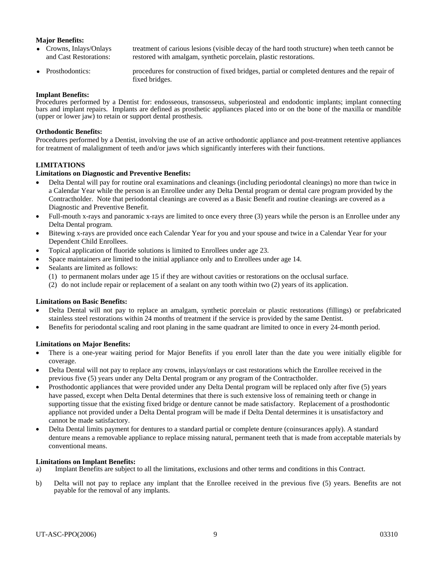#### **Major Benefits:**

- Crowns, Inlays/Onlays and Cast Restorations: treatment of carious lesions (visible decay of the hard tooth structure) when teeth cannot be restored with amalgam, synthetic porcelain, plastic restorations.
- Prosthodontics: procedures for construction of fixed bridges, partial or completed dentures and the repair of fixed bridges.

#### **Implant Benefits:**

Procedures performed by a Dentist for: endosseous, transosseus, subperiosteal and endodontic implants; implant connecting bars and implant repairs. Implants are defined as prosthetic appliances placed into or on the bone of the maxilla or mandible (upper or lower jaw) to retain or support dental prosthesis.

#### **Orthodontic Benefits:**

Procedures performed by a Dentist, involving the use of an active orthodontic appliance and post-treatment retentive appliances for treatment of malalignment of teeth and/or jaws which significantly interferes with their functions.

#### **LIMITATIONS**

#### **Limitations on Diagnostic and Preventive Benefits:**

- Delta Dental will pay for routine oral examinations and cleanings (including periodontal cleanings) no more than twice in a Calendar Year while the person is an Enrollee under any Delta Dental program or dental care program provided by the Contractholder. Note that periodontal cleanings are covered as a Basic Benefit and routine cleanings are covered as a Diagnostic and Preventive Benefit.
- Full-mouth x-rays and panoramic x-rays are limited to once every three (3) years while the person is an Enrollee under any Delta Dental program.
- Bitewing x-rays are provided once each Calendar Year for you and your spouse and twice in a Calendar Year for your Dependent Child Enrollees.
- Topical application of fluoride solutions is limited to Enrollees under age 23.
- Space maintainers are limited to the initial appliance only and to Enrollees under age 14.
- Sealants are limited as follows:
	- (1) to permanent molars under age 15 if they are without cavities or restorations on the occlusal surface.
	- (2) do not include repair or replacement of a sealant on any tooth within two (2) years of its application.

#### **Limitations on Basic Benefits:**

- Delta Dental will not pay to replace an amalgam, synthetic porcelain or plastic restorations (fillings) or prefabricated stainless steel restorations within 24 months of treatment if the service is provided by the same Dentist.
- Benefits for periodontal scaling and root planing in the same quadrant are limited to once in every 24-month period.

#### **Limitations on Major Benefits:**

- There is a one-year waiting period for Major Benefits if you enroll later than the date you were initially eligible for coverage.
- Delta Dental will not pay to replace any crowns, inlays/onlays or cast restorations which the Enrollee received in the previous five (5) years under any Delta Dental program or any program of the Contractholder.
- Prosthodontic appliances that were provided under any Delta Dental program will be replaced only after five (5) years have passed, except when Delta Dental determines that there is such extensive loss of remaining teeth or change in supporting tissue that the existing fixed bridge or denture cannot be made satisfactory. Replacement of a prosthodontic appliance not provided under a Delta Dental program will be made if Delta Dental determines it is unsatisfactory and cannot be made satisfactory.
- Delta Dental limits payment for dentures to a standard partial or complete denture (coinsurances apply). A standard denture means a removable appliance to replace missing natural, permanent teeth that is made from acceptable materials by conventional means.

#### **Limitations on Implant Benefits:**

- a) Implant Benefits are subject to all the limitations, exclusions and other terms and conditions in this Contract.
- b) Delta will not pay to replace any implant that the Enrollee received in the previous five (5) years. Benefits are not payable for the removal of any implants.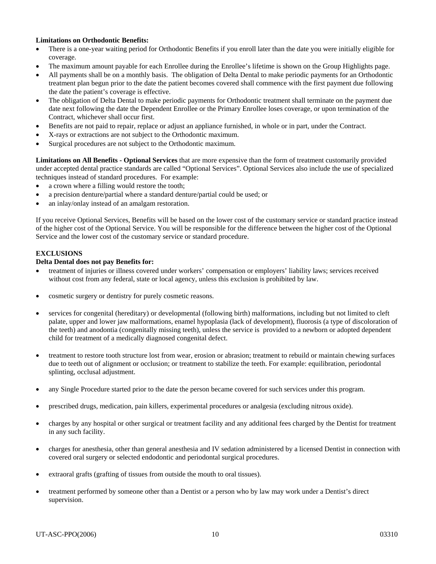#### **Limitations on Orthodontic Benefits:**

- There is a one-year waiting period for Orthodontic Benefits if you enroll later than the date you were initially eligible for coverage.
- The maximum amount payable for each Enrollee during the Enrollee's lifetime is shown on the Group Highlights page.
- All payments shall be on a monthly basis. The obligation of Delta Dental to make periodic payments for an Orthodontic treatment plan begun prior to the date the patient becomes covered shall commence with the first payment due following the date the patient's coverage is effective.
- The obligation of Delta Dental to make periodic payments for Orthodontic treatment shall terminate on the payment due date next following the date the Dependent Enrollee or the Primary Enrollee loses coverage, or upon termination of the Contract, whichever shall occur first.
- Benefits are not paid to repair, replace or adjust an appliance furnished, in whole or in part, under the Contract.
- X-rays or extractions are not subject to the Orthodontic maximum.
- Surgical procedures are not subject to the Orthodontic maximum.

**Limitations on All Benefits - Optional Services** that are more expensive than the form of treatment customarily provided under accepted dental practice standards are called "Optional Services". Optional Services also include the use of specialized techniques instead of standard procedures. For example:

- a crown where a filling would restore the tooth;
- a precision denture/partial where a standard denture/partial could be used; or
- an inlay/onlay instead of an amalgam restoration.

If you receive Optional Services, Benefits will be based on the lower cost of the customary service or standard practice instead of the higher cost of the Optional Service. You will be responsible for the difference between the higher cost of the Optional Service and the lower cost of the customary service or standard procedure.

### **EXCLUSIONS**

#### **Delta Dental does not pay Benefits for:**

- treatment of injuries or illness covered under workers' compensation or employers' liability laws; services received without cost from any federal, state or local agency, unless this exclusion is prohibited by law.
- cosmetic surgery or dentistry for purely cosmetic reasons.
- services for congenital (hereditary) or developmental (following birth) malformations, including but not limited to cleft palate, upper and lower jaw malformations, enamel hypoplasia (lack of development), fluorosis (a type of discoloration of the teeth) and anodontia (congenitally missing teeth), unless the service is provided to a newborn or adopted dependent child for treatment of a medically diagnosed congenital defect.
- treatment to restore tooth structure lost from wear, erosion or abrasion; treatment to rebuild or maintain chewing surfaces due to teeth out of alignment or occlusion; or treatment to stabilize the teeth. For example: equilibration, periodontal splinting, occlusal adjustment.
- any Single Procedure started prior to the date the person became covered for such services under this program.
- prescribed drugs, medication, pain killers, experimental procedures or analgesia (excluding nitrous oxide).
- charges by any hospital or other surgical or treatment facility and any additional fees charged by the Dentist for treatment in any such facility.
- charges for anesthesia, other than general anesthesia and IV sedation administered by a licensed Dentist in connection with covered oral surgery or selected endodontic and periodontal surgical procedures.
- extraoral grafts (grafting of tissues from outside the mouth to oral tissues).
- treatment performed by someone other than a Dentist or a person who by law may work under a Dentist's direct supervision.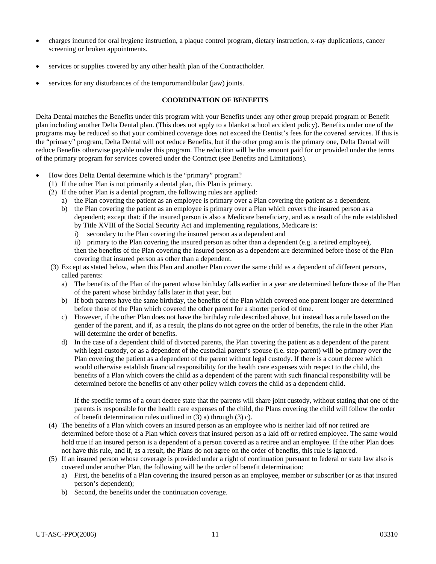- charges incurred for oral hygiene instruction, a plaque control program, dietary instruction, x-ray duplications, cancer screening or broken appointments.
- services or supplies covered by any other health plan of the Contractholder.
- services for any disturbances of the temporomandibular (jaw) joints.

#### **COORDINATION OF BENEFITS**

Delta Dental matches the Benefits under this program with your Benefits under any other group prepaid program or Benefit plan including another Delta Dental plan. (This does not apply to a blanket school accident policy). Benefits under one of the programs may be reduced so that your combined coverage does not exceed the Dentist's fees for the covered services. If this is the "primary" program, Delta Dental will not reduce Benefits, but if the other program is the primary one, Delta Dental will reduce Benefits otherwise payable under this program. The reduction will be the amount paid for or provided under the terms of the primary program for services covered under the Contract (see Benefits and Limitations).

- How does Delta Dental determine which is the "primary" program?
	- (1) If the other Plan is not primarily a dental plan, this Plan is primary.
	- (2) If the other Plan is a dental program, the following rules are applied:
		- a) the Plan covering the patient as an employee is primary over a Plan covering the patient as a dependent.
		- b) the Plan covering the patient as an employee is primary over a Plan which covers the insured person as a dependent; except that: if the insured person is also a Medicare beneficiary, and as a result of the rule established by Title XVIII of the Social Security Act and implementing regulations, Medicare is:
			- i) secondary to the Plan covering the insured person as a dependent and
			- ii) primary to the Plan covering the insured person as other than a dependent (e.g. a retired employee), then the benefits of the Plan covering the insured person as a dependent are determined before those of the Plan covering that insured person as other than a dependent.
	- (3) Except as stated below, when this Plan and another Plan cover the same child as a dependent of different persons, called parents:
		- a) The benefits of the Plan of the parent whose birthday falls earlier in a year are determined before those of the Plan of the parent whose birthday falls later in that year, but
		- b) If both parents have the same birthday, the benefits of the Plan which covered one parent longer are determined before those of the Plan which covered the other parent for a shorter period of time.
		- c) However, if the other Plan does not have the birthday rule described above, but instead has a rule based on the gender of the parent, and if, as a result, the plans do not agree on the order of benefits, the rule in the other Plan will determine the order of benefits.
		- d) In the case of a dependent child of divorced parents, the Plan covering the patient as a dependent of the parent with legal custody, or as a dependent of the custodial parent's spouse (i.e. step-parent) will be primary over the Plan covering the patient as a dependent of the parent without legal custody. If there is a court decree which would otherwise establish financial responsibility for the health care expenses with respect to the child, the benefits of a Plan which covers the child as a dependent of the parent with such financial responsibility will be determined before the benefits of any other policy which covers the child as a dependent child.

If the specific terms of a court decree state that the parents will share joint custody, without stating that one of the parents is responsible for the health care expenses of the child, the Plans covering the child will follow the order of benefit determination rules outlined in (3) a) through (3) c).

- (4) The benefits of a Plan which covers an insured person as an employee who is neither laid off nor retired are determined before those of a Plan which covers that insured person as a laid off or retired employee. The same would hold true if an insured person is a dependent of a person covered as a retiree and an employee. If the other Plan does not have this rule, and if, as a result, the Plans do not agree on the order of benefits, this rule is ignored.
- (5) If an insured person whose coverage is provided under a right of continuation pursuant to federal or state law also is covered under another Plan, the following will be the order of benefit determination:
	- a) First, the benefits of a Plan covering the insured person as an employee, member or subscriber (or as that insured person's dependent);
	- b) Second, the benefits under the continuation coverage.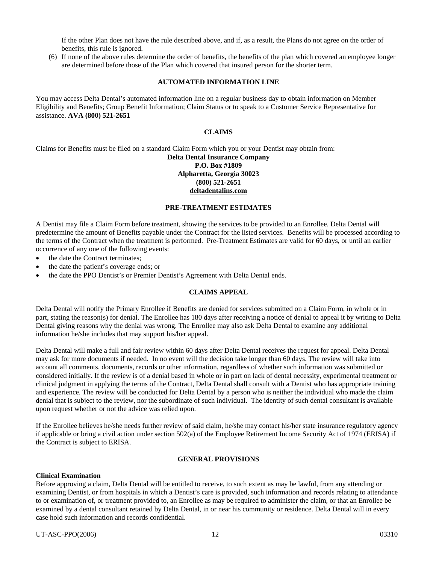If the other Plan does not have the rule described above, and if, as a result, the Plans do not agree on the order of benefits, this rule is ignored.

(6) If none of the above rules determine the order of benefits, the benefits of the plan which covered an employee longer are determined before those of the Plan which covered that insured person for the shorter term.

#### **AUTOMATED INFORMATION LINE**

You may access Delta Dental's automated information line on a regular business day to obtain information on Member Eligibility and Benefits; Group Benefit Information; Claim Status or to speak to a Customer Service Representative for assistance. **AVA (800) 521-2651** 

#### **CLAIMS**

Claims for Benefits must be filed on a standard Claim Form which you or your Dentist may obtain from:

#### **Delta Dental Insurance Company P.O. Box #1809 Alpharetta, Georgia 30023 (800) 521-2651 deltadentalins.com**

#### **PRE-TREATMENT ESTIMATES**

A Dentist may file a Claim Form before treatment, showing the services to be provided to an Enrollee. Delta Dental will predetermine the amount of Benefits payable under the Contract for the listed services. Benefits will be processed according to the terms of the Contract when the treatment is performed. Pre-Treatment Estimates are valid for 60 days, or until an earlier occurrence of any one of the following events:

- the date the Contract terminates;
- the date the patient's coverage ends; or
- the date the PPO Dentist's or Premier Dentist's Agreement with Delta Dental ends.

#### **CLAIMS APPEAL**

Delta Dental will notify the Primary Enrollee if Benefits are denied for services submitted on a Claim Form, in whole or in part, stating the reason(s) for denial. The Enrollee has 180 days after receiving a notice of denial to appeal it by writing to Delta Dental giving reasons why the denial was wrong. The Enrollee may also ask Delta Dental to examine any additional information he/she includes that may support his/her appeal.

Delta Dental will make a full and fair review within 60 days after Delta Dental receives the request for appeal. Delta Dental may ask for more documents if needed. In no event will the decision take longer than 60 days. The review will take into account all comments, documents, records or other information, regardless of whether such information was submitted or considered initially. If the review is of a denial based in whole or in part on lack of dental necessity, experimental treatment or clinical judgment in applying the terms of the Contract, Delta Dental shall consult with a Dentist who has appropriate training and experience. The review will be conducted for Delta Dental by a person who is neither the individual who made the claim denial that is subject to the review, nor the subordinate of such individual. The identity of such dental consultant is available upon request whether or not the advice was relied upon.

If the Enrollee believes he/she needs further review of said claim, he/she may contact his/her state insurance regulatory agency if applicable or bring a civil action under section 502(a) of the Employee Retirement Income Security Act of 1974 (ERISA) if the Contract is subject to ERISA.

#### **GENERAL PROVISIONS**

#### **Clinical Examination**

Before approving a claim, Delta Dental will be entitled to receive, to such extent as may be lawful, from any attending or examining Dentist, or from hospitals in which a Dentist's care is provided, such information and records relating to attendance to or examination of, or treatment provided to, an Enrollee as may be required to administer the claim, or that an Enrollee be examined by a dental consultant retained by Delta Dental, in or near his community or residence. Delta Dental will in every case hold such information and records confidential.